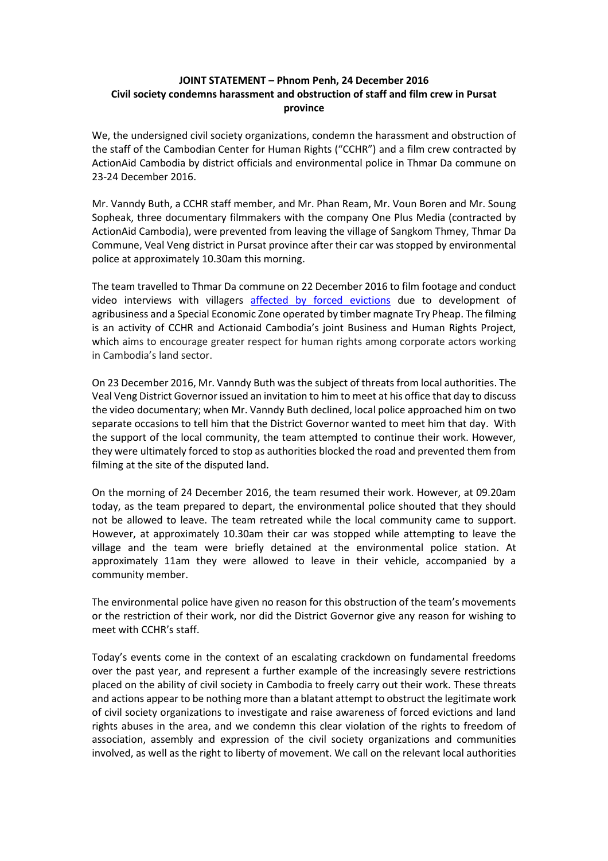## **JOINT STATEMENT – Phnom Penh, 24 December 2016 Civil society condemns harassment and obstruction of staff and film crew in Pursat province**

We, the undersigned civil society organizations, condemn the harassment and obstruction of the staff of the Cambodian Center for Human Rights ("CCHR") and a film crew contracted by ActionAid Cambodia by district officials and environmental police in Thmar Da commune on 23-24 December 2016.

Mr. Vanndy Buth, a CCHR staff member, and Mr. Phan Ream, Mr. Voun Boren and Mr. Soung Sopheak, three documentary filmmakers with the company One Plus Media (contracted by ActionAid Cambodia), were prevented from leaving the village of Sangkom Thmey, Thmar Da Commune, Veal Veng district in Pursat province after their car was stopped by environmental police at approximately 10.30am this morning.

The team travelled to Thmar Da commune on 22 December 2016 to film footage and conduct video interviews with villagers [affected by forced evictions](http://www.cchrcambodia.org/project_page/land_profile/pdf/9-Pursat-Veal-Veng-Profile-en.pdf) due to development of agribusiness and a Special Economic Zone operated by timber magnate Try Pheap. The filming is an activity of CCHR and Actionaid Cambodia's joint Business and Human Rights Project, which aims to encourage greater respect for human rights among corporate actors working in Cambodia's land sector.

On 23 December 2016, Mr. Vanndy Buth was the subject of threats from local authorities. The Veal Veng District Governor issued an invitation to him to meet at his office that day to discuss the video documentary; when Mr. Vanndy Buth declined, local police approached him on two separate occasions to tell him that the District Governor wanted to meet him that day. With the support of the local community, the team attempted to continue their work. However, they were ultimately forced to stop as authorities blocked the road and prevented them from filming at the site of the disputed land.

On the morning of 24 December 2016, the team resumed their work. However, at 09.20am today, as the team prepared to depart, the environmental police shouted that they should not be allowed to leave. The team retreated while the local community came to support. However, at approximately 10.30am their car was stopped while attempting to leave the village and the team were briefly detained at the environmental police station. At approximately 11am they were allowed to leave in their vehicle, accompanied by a community member.

The environmental police have given no reason for this obstruction of the team's movements or the restriction of their work, nor did the District Governor give any reason for wishing to meet with CCHR's staff.

Today's events come in the context of an escalating crackdown on fundamental freedoms over the past year, and represent a further example of the increasingly severe restrictions placed on the ability of civil society in Cambodia to freely carry out their work. These threats and actions appear to be nothing more than a blatant attempt to obstruct the legitimate work of civil society organizations to investigate and raise awareness of forced evictions and land rights abuses in the area, and we condemn this clear violation of the rights to freedom of association, assembly and expression of the civil society organizations and communities involved, as well as the right to liberty of movement. We call on the relevant local authorities